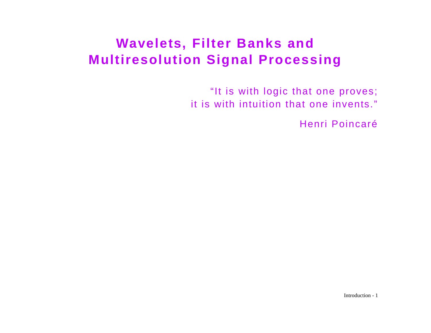# **Wavelets, Filter Banks and Multiresolution Signal Processing**

"It is with logic that one proves; it is with intuition that one invents."

Henri Poincaré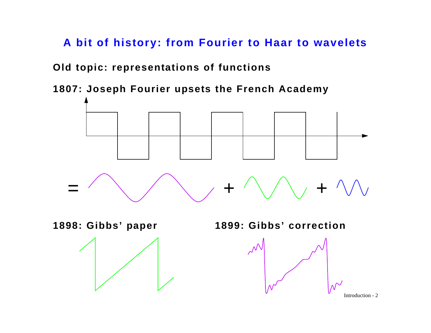**A bit of history: from Fourier to Haar to wavelets**

**Old topic: representations of functions**

**1807: Joseph Fourier upsets the French Academy**

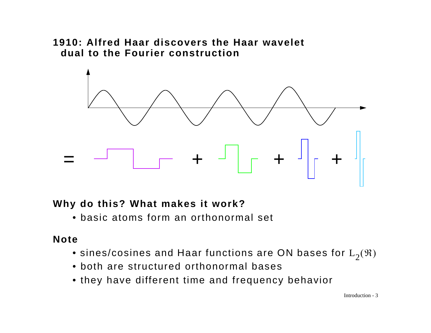#### **1910: Alfred Haar discovers the Haar waveletdual to the Fourier construction**



#### **Why do this? What makes it work?**

• basic atoms form an orthonormal set

#### **Note**

- $\bullet$  sines/cosines and Haar functions are ON bases for  $\mathrm{L}_2(\mathfrak{R})$
- both are structured orthonormal bases
- they have different time and frequency behavior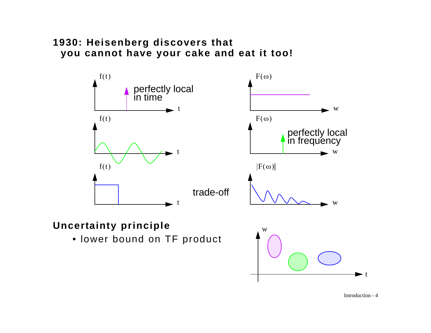#### **1930: Heisenberg discovers that you cannot have your cake and eat it too!**



### **Uncertainty principle**

• lower bound on TF product



Introduction - 4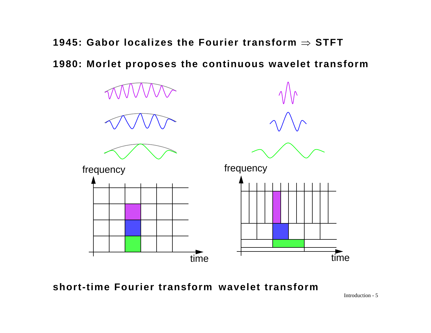**1945: Gabor localizes the Fourier transform**  ⇒ **STFT**

**1980: Morlet proposes the continuous wavelet transform**



**short-time Fourier transform wavelet transform**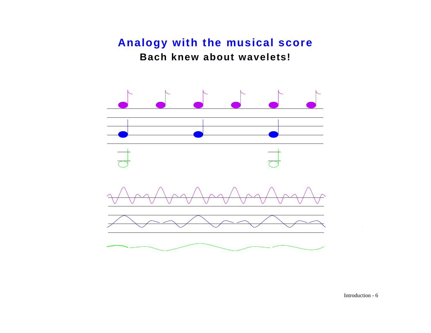## **Analogy with the musical score Bach knew about wavelets!**

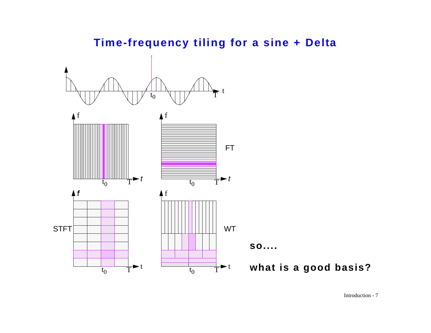

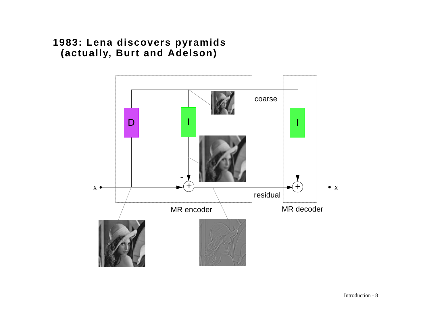### **1983: Lena discovers pyramids (actually, Burt and Adelson)**

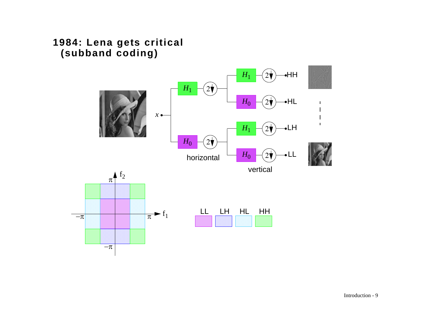### **1984: Lena gets critical (subband coding)**

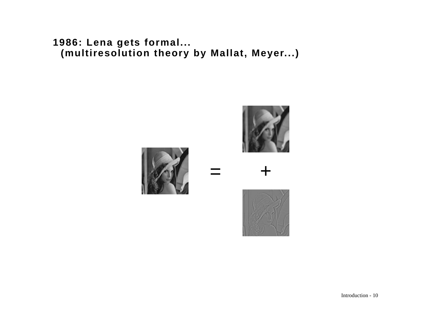**1986: Lena gets formal... (multiresolution theory by Mallat, Meyer...)**

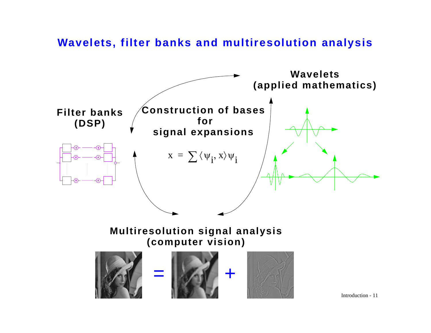**Wavelets, filter banks and multiresolution analysis**

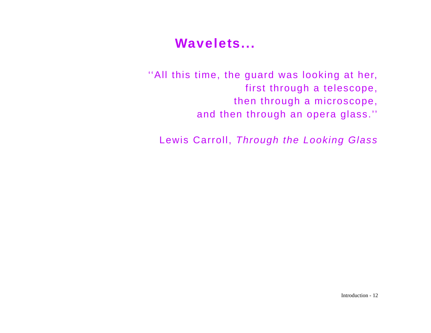# **Wavelets...**

''All this time, the guard was looking at her, first through a telescope, then through a microscope, and then through an opera glass.''

Lewis Carroll, *Through the Looking Glass*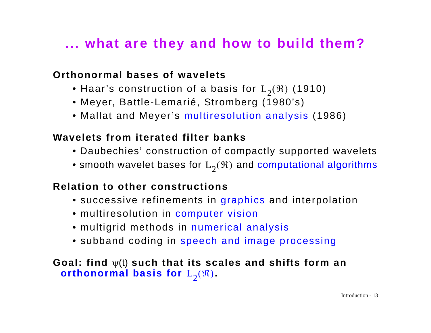# **... what are they and how to build them?**

### **Orthonormal bases of wavelets**

- $\bullet$  Haar's construction of a basis for  $\mathrm{L}_2(\mathfrak{R})$  (1910)
- Meyer, Battle-Lemarié, Stromberg (1980's)
- Mallat and Meyer's multiresolution analysis (1986)

### **Wavelets from iterated filter banks**

- Daubechies' construction of compactly supported wavelets
- $\bullet$  smooth wavelet bases for  $\mathrm{L}_2(\mathfrak{R})$  and computational algorithms

### **Relation to other constructions**

- successive refinements in graphics and interpolation
- multiresolution in computer vision
- multigrid methods in numerical analysis
- subband coding in speech and image processing

### **Goal: find**  ψ(t) **such that its scales and shifts form an**   $\textbf{orthonormal basis for}\;\text{L}_2(\mathfrak{R}).$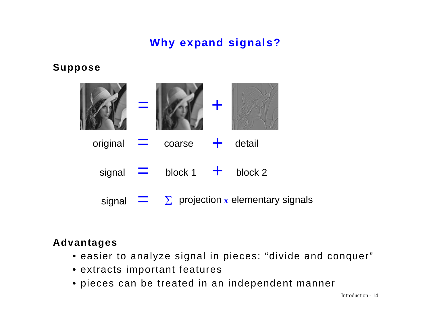## **Why expand signals?**

#### **Suppose**



### **Advantages**

- easier to analyze signal in pieces: "divide and conquer"
- extracts important features
- pieces can be treated in an independent manner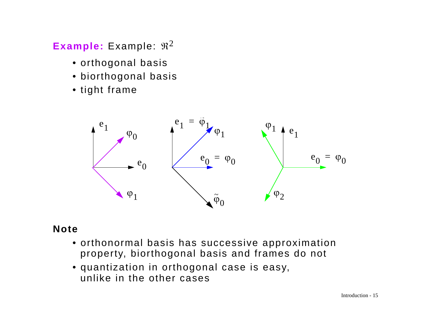## $\sf{Example:}$  Example:  $\mathfrak{R}^2$

- orthogonal basis
- biorthogonal basis
- tight frame



### **Note**

- orthonormal basis has successive approximation property, biorthogonal basis and frames do not
- quantization in orthogonal case is easy, unlike in the other cases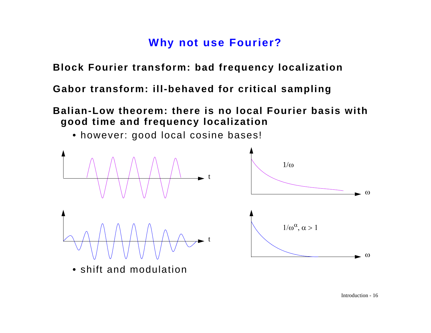## **Why not use Fourier?**

**Block Fourier transform: bad frequency localization**

**Gabor transform: ill-behaved for critical sampling**

**Balian-Low theorem: there is no local Fourier basis with good time and frequency localization**



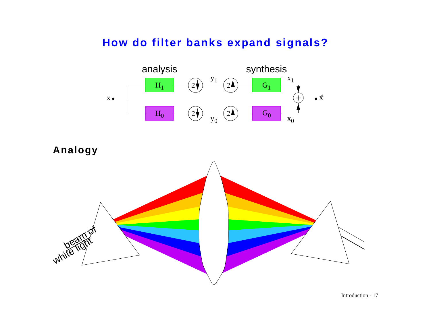## **How do filter banks expand signals?**



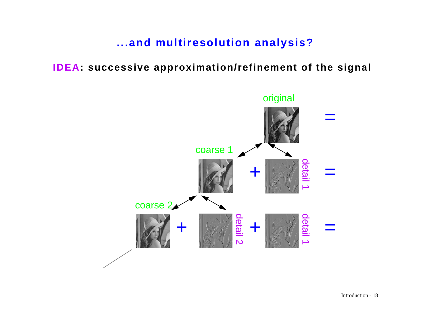**...and multiresolution analysis?**

**IDEA: successive approximation/refinement of the signal**

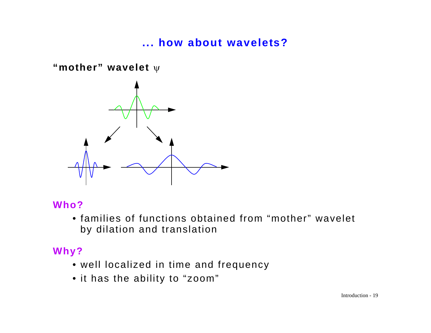## **... how about wavelets?**

**"mother" wavelet**  ψ

![](_page_18_Figure_2.jpeg)

### **Who?**

• families of functions obtained from "mother" wavelet by dilation and translation

### **Why?**

- well localized in time and frequency
- it has the ability to "zoom"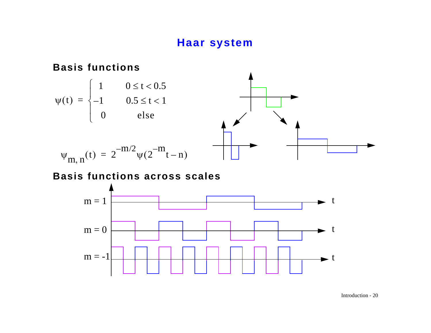## **Haar system**

#### **Basis functions**

![](_page_19_Figure_2.jpeg)

$$
\Psi_{m, n}(t) = 2^{-m/2} \Psi(2^{m} t - n)
$$

#### **Basis functions across scales**

![](_page_19_Figure_5.jpeg)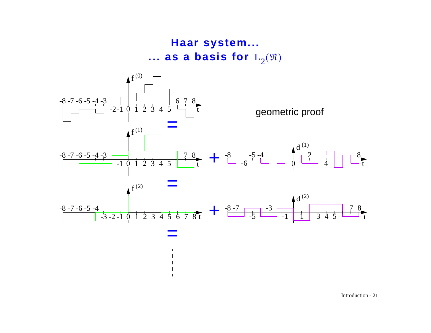![](_page_20_Figure_0.jpeg)

![](_page_20_Figure_1.jpeg)

=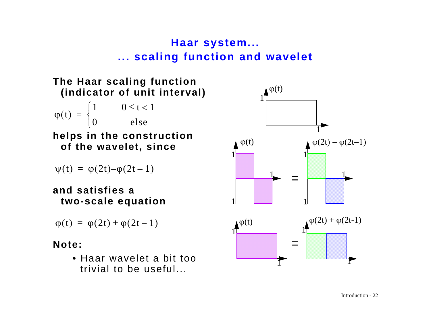## **Haar system... ... scaling function and wavelet**

![](_page_21_Figure_1.jpeg)

$$
\psi(t) = \varphi(2t) - \varphi(2t-1)
$$

#### **and satisfies a two-scale equation**

$$
\varphi(t) = \varphi(2t) + \varphi(2t-1)
$$

### **Note:**

• Haar wavelet a bit too trivial to be useful...

![](_page_21_Figure_7.jpeg)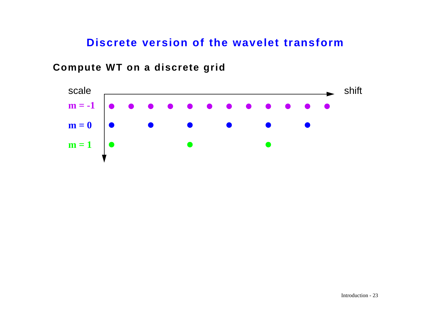### **Discrete version of the wavelet transform**

![](_page_22_Figure_1.jpeg)

#### **Compute WT on a discrete grid**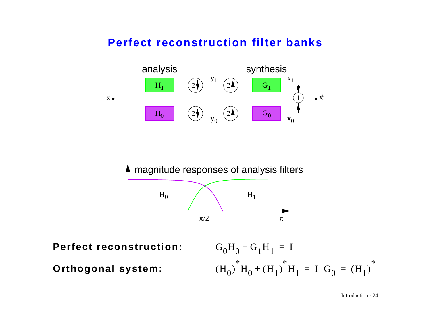### **Perfect reconstruction filter banks**

![](_page_23_Figure_1.jpeg)

![](_page_23_Figure_2.jpeg)

**Perfect reconstruction:**

 $G_0H_0 + G_1H_1 = I$  $\rm (H^{}_0)$  $H_0$  $\rm(H_{1})$  $+ (H_1)^* H_1 = I G_0$  $\rm(H_{1})$  $=$   $(H_1)^*$ 

**Orthogonal system:**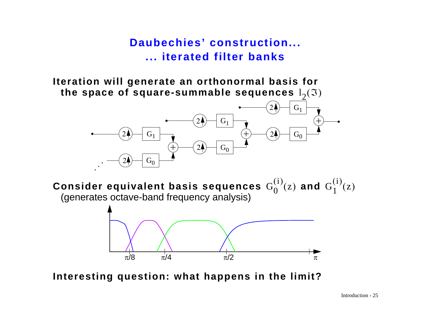**Daubechies' construction... ... iterated filter banks**

**Iteration will generate an orthonormal basis for**  the space of square-summable sequences  $\boldsymbol{\mathsf{1}}_2(\mathfrak{I})$ 

![](_page_24_Figure_2.jpeg)

Consider equivalent basis sequences  $G^{(i)}_0(\mathrm{z})$  and  $G^{(i)}_1(\mathrm{z})$ (generates octave-band frequency analysis)

![](_page_24_Figure_4.jpeg)

**Interesting question: what happens in the limit?**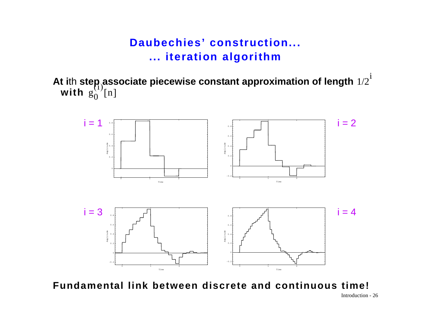## **Daubechies' construction... ... iteration algorithm**

**At i**th **step associate piecewise constant approximation of length with**   $1/2^{\dot{1}}$  $g_0^{(1)}[n]$ 

![](_page_25_Figure_2.jpeg)

**Fundamental link between discrete and continuous time!**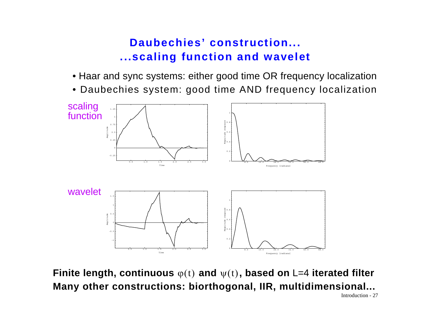## **Daubechies' construction... ...scaling function and wavelet**

- Haar and sync systems: either good time OR frequency localization
- Daubechies system: good time AND frequency localization

![](_page_26_Figure_3.jpeg)

**Finite length, continuous** φ(t) and ψ(t)**, based on** L=4 iterated filter **Many other constructions: biorthogonal, IIR, multidimensional...**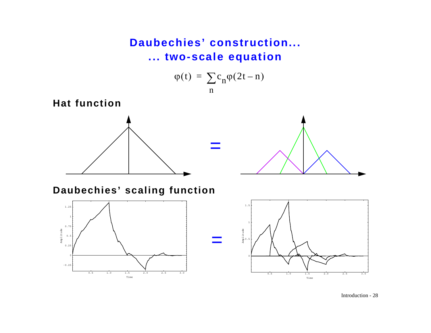## **Daubechies' construction... ... two-scale equation**

$$
\varphi(t) = \sum_{n} c_n \varphi(2t - n)
$$

=

=

**Hat function**

![](_page_27_Figure_3.jpeg)

![](_page_27_Figure_4.jpeg)

### **Daubechies' scaling function**

![](_page_27_Figure_6.jpeg)

![](_page_27_Figure_7.jpeg)

Introduction - 28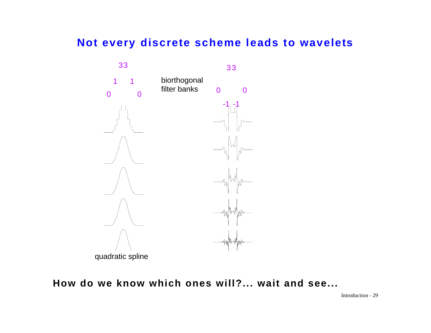### **Not every discrete scheme leads to wavelets**

![](_page_28_Figure_1.jpeg)

#### **How do we know which ones will?... wait and see...**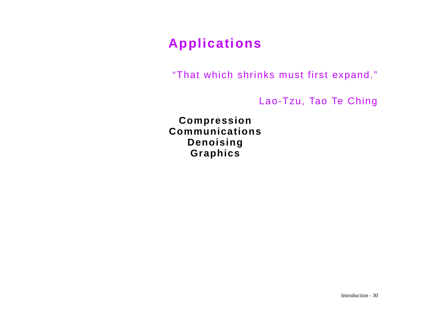# **Applications**

"That which shrinks must first expand."

Lao-Tzu, Tao Te Ching

**Compression Communications Denoising Graphics**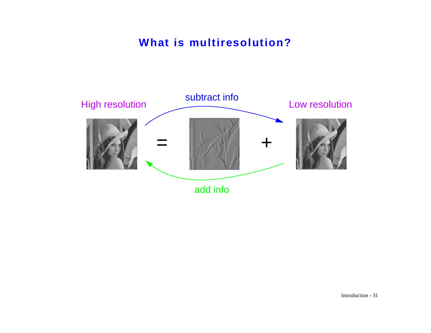## **What is multiresolution?**

![](_page_30_Figure_1.jpeg)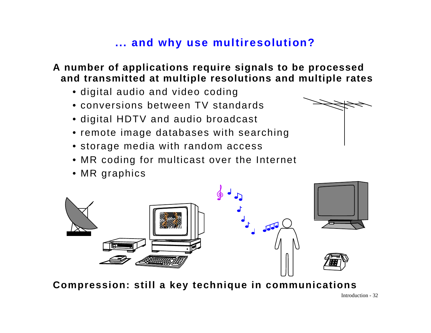## **... and why use multiresolution?**

#### **A number of applications require signals to be processed and transmitted at multiple resolutions and multiple rates**

- digital audio and video coding
- conversions between TV standards
- digital HDTV and audio broadcast
- remote image databases with searching
- storage media with random access
- MR coding for multicast over the Internet
- MR graphics

![](_page_31_Picture_9.jpeg)

**Compression: still a key technique in communications**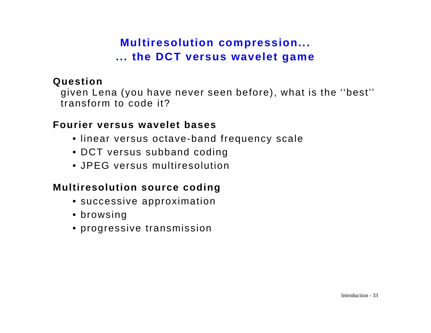## **Multiresolution compression... ... the DCT versus wavelet game**

#### **Question**

given Lena (you have never seen before), what is the ''best'' transform to code it?

### **Fourier versus wavelet bases**

- linear versus octave-band frequency scale
- DCT versus subband coding
- JPEG versus multiresolution

## **Multiresolution source coding**

- successive approximation
- browsing
- progressive transmission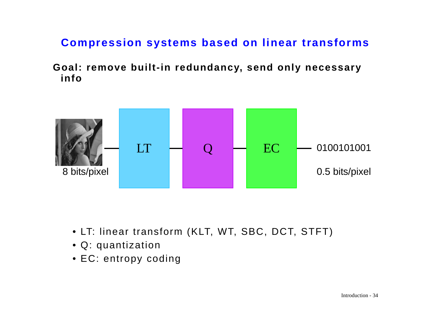## **Compression systems based on linear transforms**

**Goal: remove built-in redundancy, send only necessary info**

![](_page_33_Figure_2.jpeg)

- LT: linear transform (KLT, WT, SBC, DCT, STFT)
- Q: quantization
- EC: entropy coding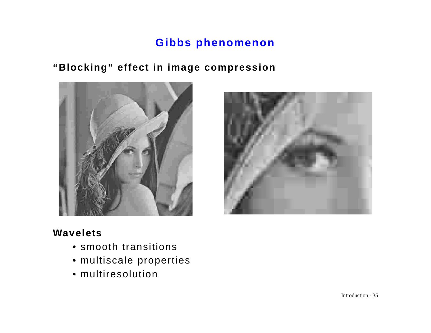## **Gibbs phenomenon**

## **"Blocking" effect in image compression**

![](_page_34_Picture_2.jpeg)

![](_page_34_Picture_3.jpeg)

#### **Wavelets**

- smooth transitions
- multiscale properties
- multiresolution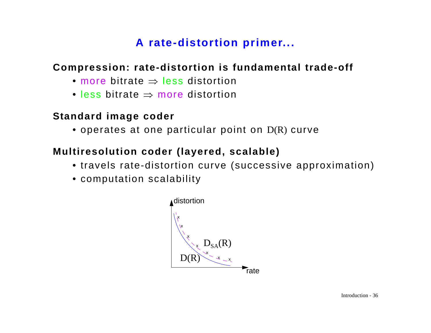## **A rate-distortion primer...**

### **Compression: rate-distortion is fundamental trade-off**

- more bitrate ⇒ less distortion
- less bitrate ⇒ more distortion

### **Standard image coder**

• operates at one particular point on D(R) curve

### **Multiresolution coder (layered, scalable)**

- travels rate-distortion curve (successive approximation)
- computation scalability

![](_page_35_Figure_9.jpeg)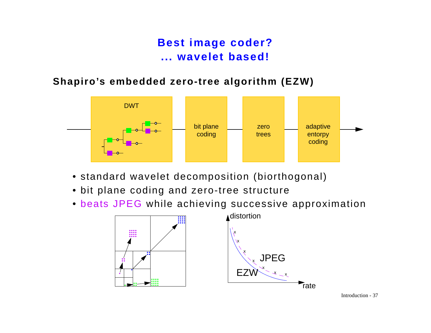## **Best image coder? ... wavelet based!**

#### **Shapiro's embedded zero-tree algorithm (EZW)**

![](_page_36_Figure_2.jpeg)

- standard wavelet decomposition (biorthogonal)
- bit plane coding and zero-tree structure
- beats JPEG while achieving successive approximation

![](_page_36_Figure_6.jpeg)

![](_page_36_Figure_7.jpeg)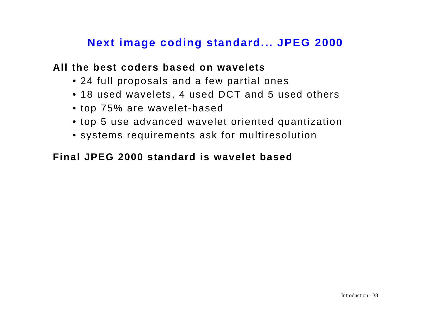## **Next image coding standard... JPEG 2000**

#### **All the best coders based on wavelets**

- 24 full proposals and a few partial ones
- 18 used wavelets, 4 used DCT and 5 used others
- top 75% are wavelet-based
- top 5 use advanced wavelet oriented quantization
- systems requirements ask for multiresolution

### **Final JPEG 2000 standard is wavelet based**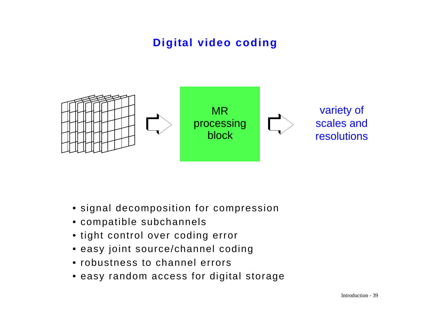# **Digital video coding**

![](_page_38_Figure_1.jpeg)

- signal decomposition for compression
- compatible subchannels
- tight control over coding error
- easy joint source/channel coding
- robustness to channel errors
- easy random access for digital storage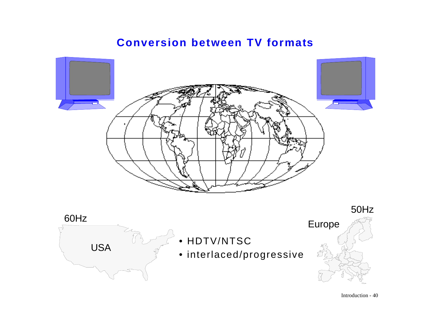#### **Conversion between TV formats**

![](_page_39_Picture_1.jpeg)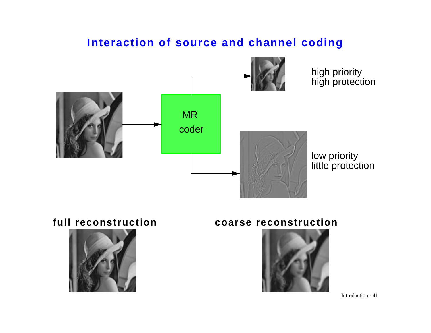## **Interaction of source and channel coding**

![](_page_40_Figure_1.jpeg)

![](_page_40_Picture_3.jpeg)

#### **full reconstruction coarse reconstruction**

![](_page_40_Picture_5.jpeg)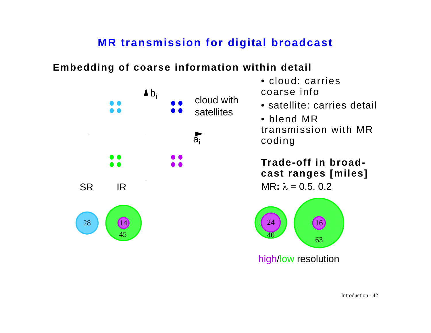## **MR transmission for digital broadcast**

### **Embedding of coarse information within detail**

![](_page_41_Figure_2.jpeg)

- cloud: carries coarse info
- satellite: carries detail
- blend MR transmission with MR coding

**Trade-off in broadcast ranges [miles]**

![](_page_41_Figure_7.jpeg)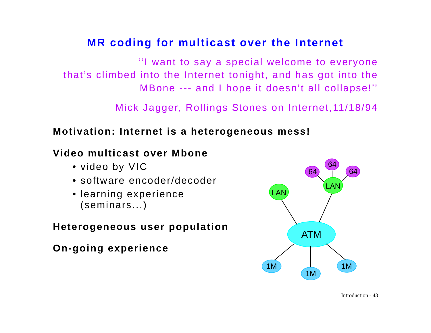## **MR coding for multicast over the Internet**

''I want to say a special welcome to everyone that's climbed into the Internet tonight, and has got into the MBone --- and I hope it doesn't all collapse!''

Mick Jagger, Rollings Stones on Internet,11/18/94

### **Motivation: Internet is a heterogeneous mess!**

## **Video multicast over Mbone**

- video by VIC
- software encoder/decoder
- learning experience (seminars...)

### **Heterogeneous user population**

**On-going experience**

![](_page_42_Picture_10.jpeg)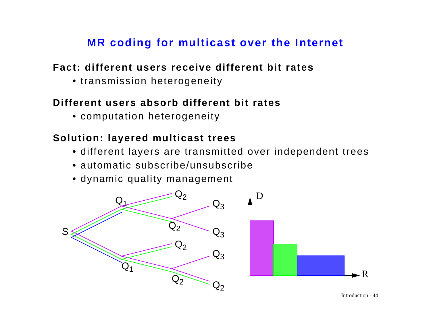## **MR coding for multicast over the Internet**

### **Fact: different users receive different bit rates**

• transmission heterogeneity

## **Different users absorb different bit rates**

• computation heterogeneity

## **Solution: layered multicast trees**

- different layers are transmitted over independent trees
- automatic subscribe/unsubscribe
- dynamic quality management

![](_page_43_Figure_9.jpeg)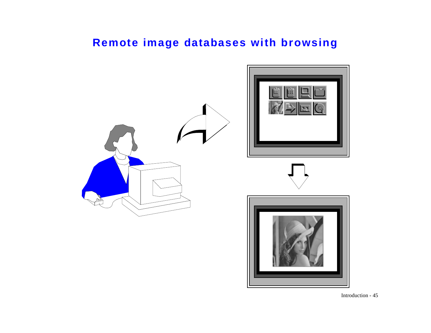## **Remote image databases with browsing**

![](_page_44_Picture_1.jpeg)

Introduction - 45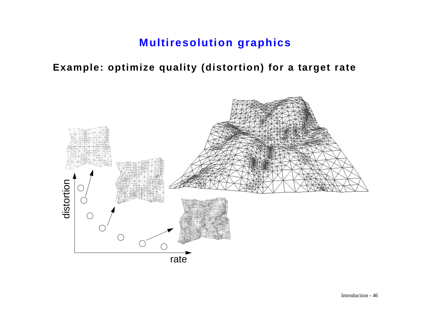## **Multiresolution graphics**

### **Example: optimize quality (distortion) for a target rate**

![](_page_45_Figure_2.jpeg)